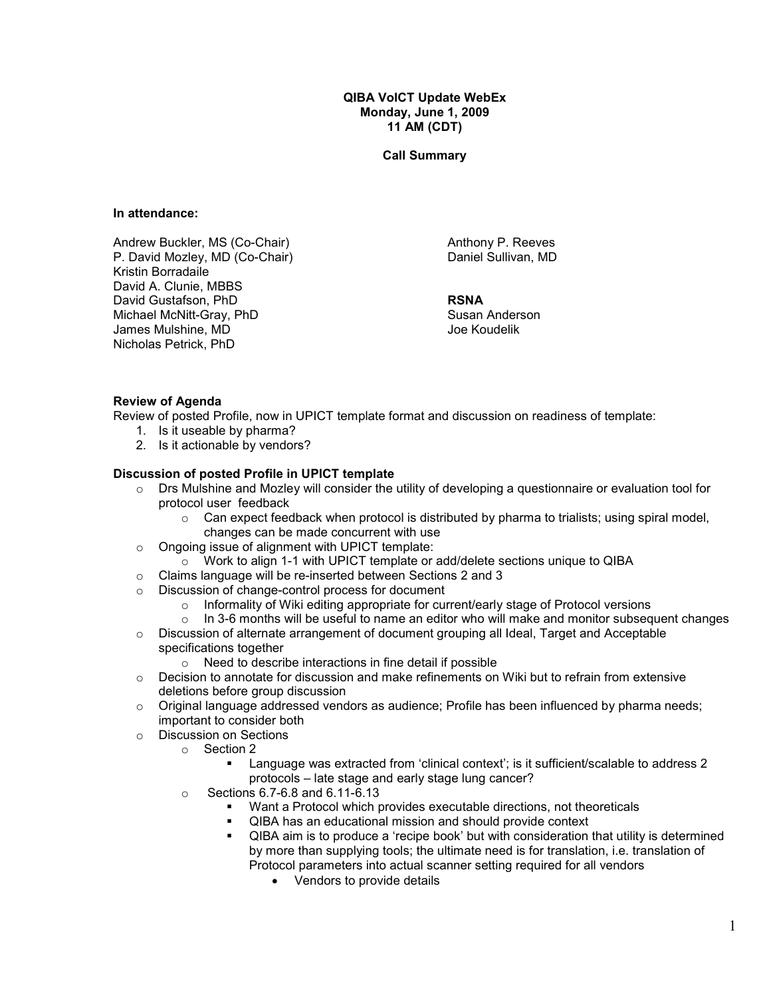QIBA VolCT Update WebEx Monday, June 1, 2009 11 AM (CDT)

Call Summary

#### In attendance:

Andrew Buckler, MS (Co-Chair) P. David Mozley, MD (Co-Chair) Kristin Borradaile David A. Clunie, MBBS David Gustafson, PhD Michael McNitt-Gray, PhD James Mulshine, MD Nicholas Petrick, PhD

Anthony P. Reeves Daniel Sullivan, MD

# RSNA

Susan Anderson Joe Koudelik

## Review of Agenda

Review of posted Profile, now in UPICT template format and discussion on readiness of template:

- 1. Is it useable by pharma?
- 2. Is it actionable by vendors?

## Discussion of posted Profile in UPICT template

- $\circ$  Drs Mulshine and Mozley will consider the utility of developing a questionnaire or evaluation tool for protocol user feedback
	- $\circ$  Can expect feedback when protocol is distributed by pharma to trialists; using spiral model, changes can be made concurrent with use
- o Ongoing issue of alignment with UPICT template:
	- $\circ$  Work to align 1-1 with UPICT template or add/delete sections unique to QIBA
- o Claims language will be re-inserted between Sections 2 and 3
- o Discussion of change-control process for document
	- $\circ$  Informality of Wiki editing appropriate for current/early stage of Protocol versions
	- $\circ$  In 3-6 months will be useful to name an editor who will make and monitor subsequent changes
- $\circ$  Discussion of alternate arrangement of document grouping all Ideal, Target and Acceptable specifications together
	- o Need to describe interactions in fine detail if possible
- $\circ$  Decision to annotate for discussion and make refinements on Wiki but to refrain from extensive deletions before group discussion
- $\circ$  Original language addressed vendors as audience; Profile has been influenced by pharma needs; important to consider both
- o Discussion on Sections
	- o Section 2
		- Language was extracted from 'clinical context'; is it sufficient/scalable to address 2 protocols – late stage and early stage lung cancer?
	- o Sections 6.7-6.8 and 6.11-6.13
		- Want a Protocol which provides executable directions, not theoreticals
		- QIBA has an educational mission and should provide context
		- QIBA aim is to produce a 'recipe book' but with consideration that utility is determined by more than supplying tools; the ultimate need is for translation, i.e. translation of Protocol parameters into actual scanner setting required for all vendors
			- Vendors to provide details